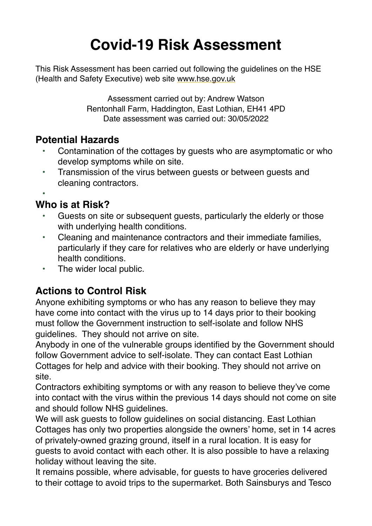# **Covid-19 Risk Assessment**

This Risk Assessment has been carried out following the guidelines on the HSE (Health and Safety Executive) web site [www.hse.gov.uk](http://www.hse.gov.uk/)

> Assessment carried out by: Andrew Watson Rentonhall Farm, Haddington, East Lothian, EH41 4PD Date assessment was carried out: 30/05/2022

### **Potential Hazards**

- Contamination of the cottages by guests who are asymptomatic or who develop symptoms while on site.
- Transmission of the virus between guests or between guests and cleaning contractors.

•

## **Who is at Risk?**

- Guests on site or subsequent quests, particularly the elderly or those with underlying health conditions.
- Cleaning and maintenance contractors and their immediate families, particularly if they care for relatives who are elderly or have underlying health conditions.
- The wider local public.

# **Actions to Control Risk**

Anyone exhibiting symptoms or who has any reason to believe they may have come into contact with the virus up to 14 days prior to their booking must follow the Government instruction to self-isolate and follow NHS guidelines. They should not arrive on site.

Anybody in one of the vulnerable groups identified by the Government should follow Government advice to self-isolate. They can contact East Lothian Cottages for help and advice with their booking. They should not arrive on site.

Contractors exhibiting symptoms or with any reason to believe they've come into contact with the virus within the previous 14 days should not come on site and should follow NHS guidelines.

We will ask guests to follow guidelines on social distancing. East Lothian Cottages has only two properties alongside the owners' home, set in 14 acres of privately-owned grazing ground, itself in a rural location. It is easy for guests to avoid contact with each other. It is also possible to have a relaxing holiday without leaving the site.

It remains possible, where advisable, for guests to have groceries delivered to their cottage to avoid trips to the supermarket. Both Sainsburys and Tesco